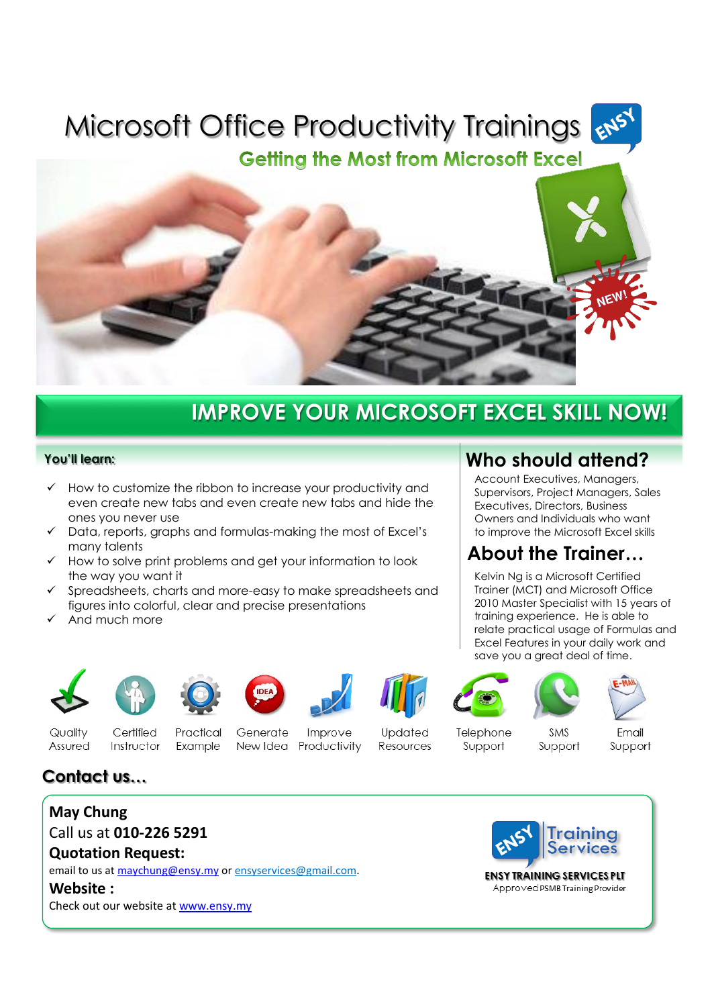# **Microsoft Office Productivity Trainings**

**Getting the Most from Microsoft Excel** 



## **IMPROVE YOUR MICROSOFT EXCEL SKILL NOW!**

#### **You'll learn:**

- How to customize the ribbon to increase your productivity and even create new tabs and even create new tabs and hide the ones you never use
- $\checkmark$  Data, reports, graphs and formulas-making the most of Excel's many talents
- $\checkmark$  How to solve print problems and get your information to look the way you want it
- Spreadsheets, charts and more-easy to make spreadsheets and figures into colorful, clear and precise presentations
- And much more



















Quality Assured

Certified Instructor

Practical Example

Generate Improve New Idea Productivity

Updated Resources

Telephone Support

**SMS** Support

Email Support

## **Contact us…**

### **May Chung** Call us at **010-226 5291**

**Quotation Request:**

email to us at [maychung@ensy.my](mailto:maychung@ensy.my) o[r ensyservices@gmail.com.](mailto:ensyservices@gmail.com) 

**Website :**

Check out our website at [www.ensy.my](http://www.ensy.my/)



Approved PSMB Training Provider

**Who should attend?**

Account Executives, Managers, Supervisors, Project Managers, Sales Executives, Directors, Business Owners and Individuals who want to improve the Microsoft Excel skills

## **About the Trainer…**

Kelvin Ng is a Microsoft Certified Trainer (MCT) and Microsoft Office 2010 Master Specialist with 15 years of training experience. He is able to relate practical usage of Formulas and Excel Features in your daily work and save you a great deal of time.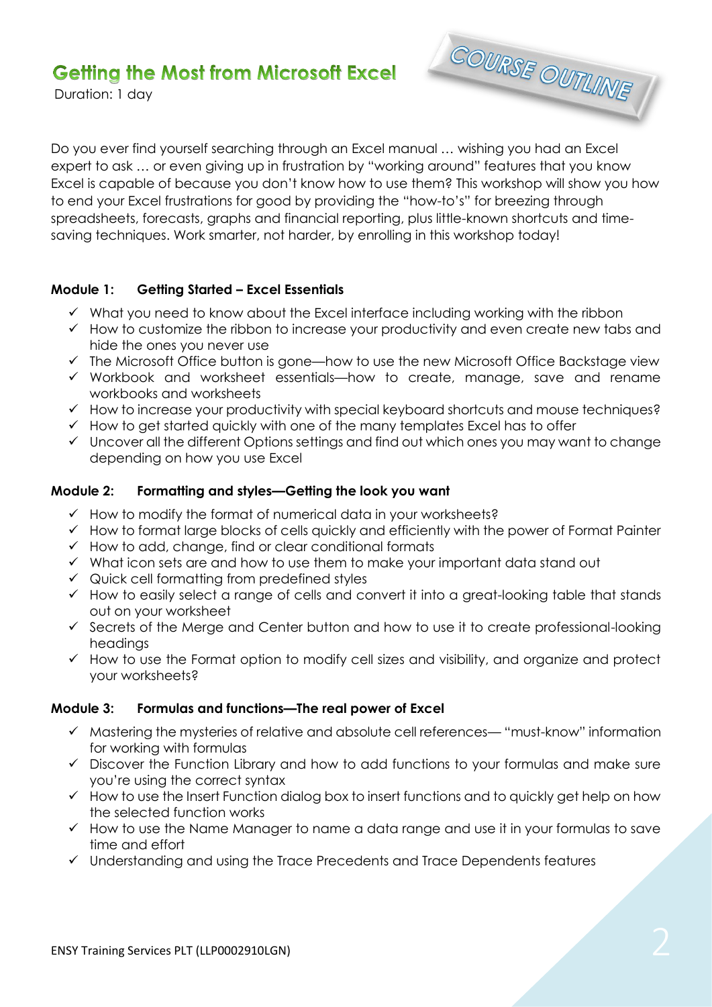## **Getting the Most from Microsoft Excel**

Duration: 1 day



Do you ever find yourself searching through an Excel manual … wishing you had an Excel expert to ask … or even giving up in frustration by "working around" features that you know Excel is capable of because you don't know how to use them? This workshop will show you how to end your Excel frustrations for good by providing the "how-to's" for breezing through spreadsheets, forecasts, graphs and financial reporting, plus little-known shortcuts and timesaving techniques. Work smarter, not harder, by enrolling in this workshop today!

#### **Module 1: Getting Started – Excel Essentials**

- $\checkmark$  What you need to know about the Excel interface including working with the ribbon
- $\checkmark$  How to customize the ribbon to increase your productivity and even create new tabs and hide the ones you never use
- $\checkmark$  The Microsoft Office button is gone—how to use the new Microsoft Office Backstage view
- Workbook and worksheet essentials—how to create, manage, save and rename workbooks and worksheets
- $\checkmark$  How to increase your productivity with special keyboard shortcuts and mouse techniques?
- $\checkmark$  How to get started quickly with one of the many templates Excel has to offer
- $\checkmark$  Uncover all the different Options settings and find out which ones you may want to change depending on how you use Excel

#### **Module 2: Formatting and styles—Getting the look you want**

- $\checkmark$  How to modify the format of numerical data in your worksheets?
- $\checkmark$  How to format large blocks of cells quickly and efficiently with the power of Format Painter
- $\checkmark$  How to add, change, find or clear conditional formats
- $\checkmark$  What icon sets are and how to use them to make your important data stand out
- $\checkmark$  Quick cell formatting from predefined styles
- $\checkmark$  How to easily select a range of cells and convert it into a great-looking table that stands out on your worksheet
- $\checkmark$  Secrets of the Merge and Center button and how to use it to create professional-looking headings
- $\checkmark$  How to use the Format option to modify cell sizes and visibility, and organize and protect your worksheets?

#### **Module 3: Formulas and functions—The real power of Excel**

- $\checkmark$  Mastering the mysteries of relative and absolute cell references— "must-know" information for working with formulas
- $\checkmark$  Discover the Function Library and how to add functions to your formulas and make sure you're using the correct syntax
- $\checkmark$  How to use the Insert Function dialog box to insert functions and to quickly get help on how the selected function works
- $\checkmark$  How to use the Name Manager to name a data range and use it in your formulas to save time and effort
- Understanding and using the Trace Precedents and Trace Dependents features